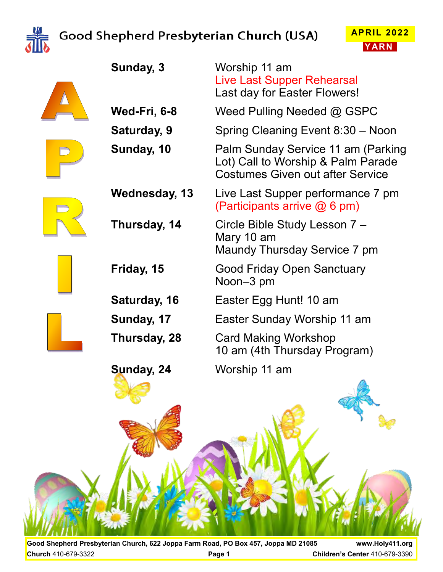

# Good Shepherd Presbyterian Church (USA)

**Sunday, 3** Worship 11 am





|               | Live Last Supper Rehearsal<br>Last day for Easter Flowers!                                                          |
|---------------|---------------------------------------------------------------------------------------------------------------------|
| Wed-Fri, 6-8  | Weed Pulling Needed $@$ GSPC                                                                                        |
| Saturday, 9   | Spring Cleaning Event 8:30 - Noon                                                                                   |
| Sunday, 10    | Palm Sunday Service 11 am (Parking<br>Lot) Call to Worship & Palm Parade<br><b>Costumes Given out after Service</b> |
| Wednesday, 13 | Live Last Supper performance 7 pm<br>(Participants arrive $@6$ pm)                                                  |
| Thursday, 14  | Circle Bible Study Lesson 7 -<br>Mary 10 am<br>Maundy Thursday Service 7 pm                                         |
| Friday, 15    | <b>Good Friday Open Sanctuary</b><br>Noon-3 pm                                                                      |
| Saturday, 16  | Easter Egg Hunt! 10 am                                                                                              |
| Sunday, 17    | Easter Sunday Worship 11 am                                                                                         |
| Thursday, 28  | <b>Card Making Workshop</b><br>10 am (4th Thursday Program)                                                         |
| Sunday, 24    | Worship 11 am                                                                                                       |
|               |                                                                                                                     |

**Good Shepherd Presbyterian Church, 622 Joppa Farm Road, PO Box 457, Joppa MD 21085 www.Holy411.org Church** 410-679-3322 **Page 1 Children's Center** 410-679-3390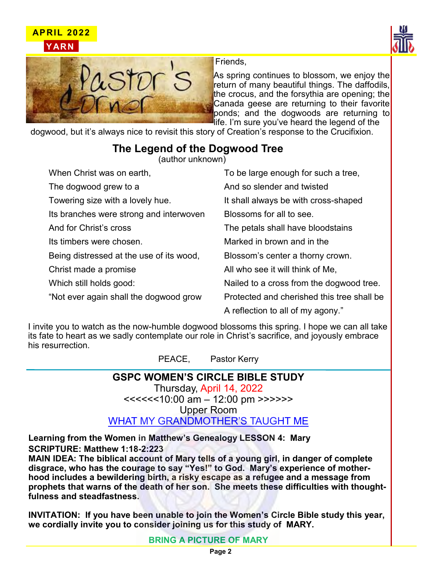





Friends,

As spring continues to blossom, we enjoy the return of many beautiful things. The daffodils, the crocus, and the forsythia are opening; the Canada geese are returning to their favorite ponds; and the dogwoods are returning to life. I'm sure you've heard the legend of the

dogwood, but it's always nice to revisit this story of Creation's response to the Crucifixion.

## **The Legend of the Dogwood Tree**

(author unknown)

| When Christ was on earth,                | To be large enough for such a tree,        |
|------------------------------------------|--------------------------------------------|
| The dogwood grew to a                    | And so slender and twisted                 |
| Towering size with a lovely hue.         | It shall always be with cross-shaped       |
| Its branches were strong and interwoven  | Blossoms for all to see.                   |
| And for Christ's cross                   | The petals shall have bloodstains          |
| Its timbers were chosen.                 | Marked in brown and in the                 |
| Being distressed at the use of its wood, | Blossom's center a thorny crown.           |
| Christ made a promise                    | All who see it will think of Me.           |
| Which still holds good:                  | Nailed to a cross from the dogwood tree.   |
| "Not ever again shall the dogwood grow   | Protected and cherished this tree shall be |
|                                          | A reflection to all of my agony."          |

I invite you to watch as the now-humble dogwood blossoms this spring. I hope we can all take its fate to heart as we sadly contemplate our role in Christ's sacrifice, and joyously embrace his resurrection.

PEACE, Pastor Kerry

### **GSPC WOMEN'S CIRCLE BIBLE STUDY**

Thursday, April 14, 2022 <<<<<<10:00 am – 12:00 pm >>>>>> Upper Room WHAT MY GRANDMOTHER'S TAUGHT ME

**Learning from the Women in Matthew's Genealogy LESSON 4: Mary SCRIPTURE: Matthew 1:18-2:223**

**MAIN IDEA: The biblical account of Mary tells of a young girl, in danger of complete disgrace, who has the courage to say "Yes!" to God. Mary's experience of motherhood includes a bewildering birth, a risky escape as a refugee and a message from prophets that warns of the death of her son. She meets these difficulties with thoughtfulness and steadfastness.** 

**INVITATION: If you have been unable to join the Women's Circle Bible study this year, we cordially invite you to consider joining us for this study of MARY.** 

**BRING A PICTURE OF MARY**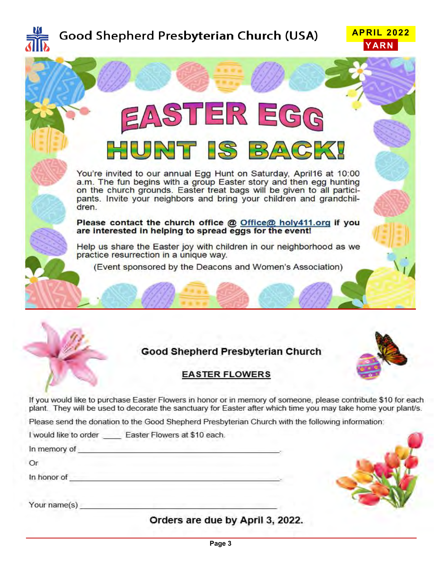

# Good Shepherd Presbyterian Church (USA)





## **Good Shepherd Presbyterian Church**



### **EASTER FLOWERS**

If you would like to purchase Easter Flowers in honor or in memory of someone, please contribute \$10 for each plant. They will be used to decorate the sanctuary for Easter after which time you may take home your plant/s.

Please send the donation to the Good Shepherd Presbyterian Church with the following information:

I would like to order Easter Flowers at \$10 each.

In memory of the state of the state of the state of the state of the state of the state of the state of the state of the state of the state of the state of the state of the state of the state of the state of the state of t

Or

Your name(s) and the contract of the contract of the contract of the contract of the contract of the contract of the contract of the contract of the contract of the contract of the contract of the contract of the contract

Orders are due by April 3, 2022.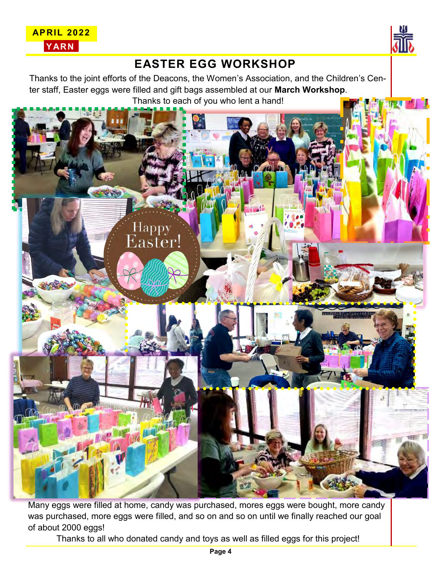



## **EASTER EGG WORKSHOP**

Thanks to the joint efforts of the Deacons, the Women's Association, and the Children's Center staff, Easter eggs were filled and gift bags assembled at our **March Workshop**. Thanks to each of you who lent a hand!



Many eggs were filled at home, candy was purchased, mores eggs were bought, more candy was purchased, more eggs were filled, and so on and so on until we finally reached our goal of about 2000 eggs!

Thanks to all who donated candy and toys as well as filled eggs for this project!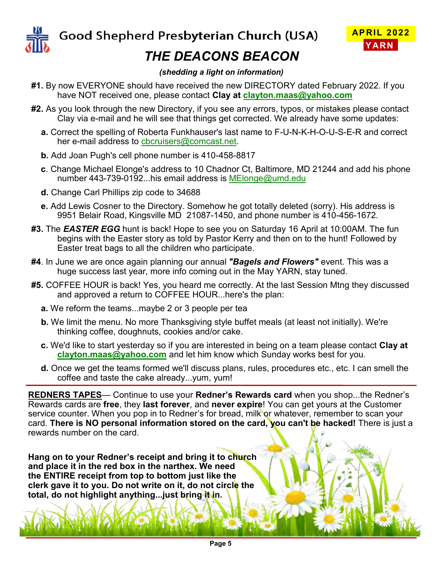



# *THE DEACONS BEACON*

#### *(shedding a light on information)*

- **#1.** By now EVERYONE should have received the new DIRECTORY dated February 2022. If you have NOT received one, please contact **Clay at [clayton.maas@yahoo.com](mailto:clayton.maas@yahoo.com)**
- **#2.** As you look through the new Directory, if you see any errors, typos, or mistakes please contact Clay via e-mail and he will see that things get corrected. We already have some updates:
	- **a.** Correct the spelling of Roberta Funkhauser's last name to F-U-N-K-H-O-U-S-E-R and correct her e-mail address to [cbcruisers@comcast.net.](mailto:cbcruisers@comcast.net)
	- **b.** Add Joan Pugh's cell phone number is 410-458-8817
	- **c**. Change Michael Elonge's address to 10 Chadnor Ct, Baltimore, MD 21244 and add his phone number 443-739-0192...his email address is [MElonge@umd.edu](mailto:MElonge@umd.edu)
	- **d.** Change Carl Phillips zip code to 34688
	- **e.** Add Lewis Cosner to the Directory. Somehow he got totally deleted (sorry). His address is 9951 Belair Road, Kingsville MD 21087-1450, and phone number is 410-456-1672.
- **#3.** The *EASTER EGG* hunt is back! Hope to see you on Saturday 16 April at 10:00AM. The fun begins with the Easter story as told by Pastor Kerry and then on to the hunt! Followed by Easter treat bags to all the children who participate.
- **#4**. In June we are once again planning our annual *"Bagels and Flowers"* event. This was a huge success last year, more info coming out in the May YARN, stay tuned.
- **#5.** COFFEE HOUR is back! Yes, you heard me correctly. At the last Session Mtng they discussed and approved a return to COFFEE HOUR...here's the plan:
	- **a.** We reform the teams...maybe 2 or 3 people per tea
	- **b.** We limit the menu. No more Thanksgiving style buffet meals (at least not initially). We're thinking coffee, doughnuts, cookies and/or cake.
	- **c.** We'd like to start yesterday so if you are interested in being on a team please contact **Clay at [clayton.maas@yahoo.com](mailto:clayton.maas@yahoo.com)** and let him know which Sunday works best for you.
	- **d.** Once we get the teams formed we'll discuss plans, rules, procedures etc., etc. I can smell the coffee and taste the cake already...yum, yum!

**REDNERS TAPES**— Continue to use your **Redner's Rewards card** when you shop...the Redner's Rewards cards are **free**, they **last forever**, and **never expire**! You can get yours at the Customer service counter. When you pop in to Redner's for bread, milk or whatever, remember to scan your card. **There is NO personal information stored on the card, you can't be hacked!** There is just a rewards number on the card.

**Hang on to your Redner's receipt and bring it to church and place it in the red box in the narthex. We need the ENTIRE receipt from top to bottom just like the clerk gave it to you. Do not write on it, do not circle the total, do not highlight anything...just bring it in.**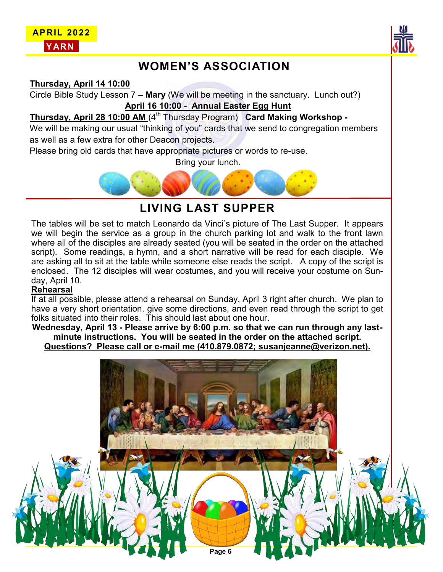



## **WOMEN'S ASSOCIATION**

**Thursday, April 14 10:00**

Circle Bible Study Lesson 7 – **Mary** (We will be meeting in the sanctuary. Lunch out?) **April 16 10:00 - Annual Easter Egg Hunt**

#### **Thursday, April 28 10:00 AM** (4<sup>th</sup> Thursday Program) **Card Making Workshop -**

We will be making our usual "thinking of you" cards that we send to congregation members as well as a few extra for other Deacon projects.

Please bring old cards that have appropriate pictures or words to re-use.

Bring your lunch.



**LIVING LAST SUPPER**

The tables will be set to match Leonardo da Vinci's picture of The Last Supper. It appears we will begin the service as a group in the church parking lot and walk to the front lawn where all of the disciples are already seated (you will be seated in the order on the attached script). Some readings, a hymn, and a short narrative will be read for each disciple. We are asking all to sit at the table while someone else reads the script. A copy of the script is enclosed. The 12 disciples will wear costumes, and you will receive your costume on Sunday, April 10.

#### **Rehearsal**

If at all possible, please attend a rehearsal on Sunday, April 3 right after church. We plan to have a very short orientation. give some directions, and even read through the script to get folks situated into their roles. This should last about one hour.

**Wednesday, April 13 - Please arrive by 6:00 p.m. so that we can run through any lastminute instructions. You will be seated in the order on the attached script. Questions? Please call or e-mail me (410.879.0872; susanjeanne@verizon.net).** 

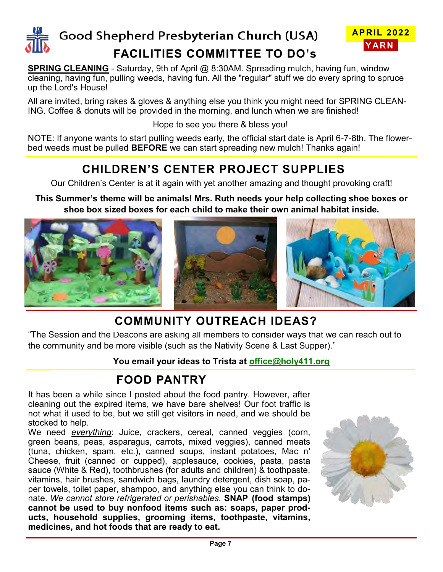

# Good Shepherd Presbyterian Church (USA) **FACILITIES COMMITTEE TO DO's**



**SPRING CLEANING** - Saturday, 9th of April @ 8:30AM. Spreading mulch, having fun. window cleaning, having fun, pulling weeds, having fun. All the "regular" stuff we do every spring to spruce up the Lord's House!

All are invited, bring rakes & gloves & anything else you think you might need for SPRING CLEAN-ING. Coffee & donuts will be provided in the morning, and lunch when we are finished!

Hope to see you there & bless you!

NOTE: If anyone wants to start pulling weeds early, the official start date is April 6-7-8th. The flowerbed weeds must be pulled **BEFORE** we can start spreading new mulch! Thanks again!

## **CHILDREN'S CENTER PROJECT SUPPLIES**

Our Children's Center is at it again with yet another amazing and thought provoking craft!

**This Summer's theme will be animals! Mrs. Ruth needs your help collecting shoe boxes or shoe box sized boxes for each child to make their own animal habitat inside.**



# **COMMUNITY OUTREACH IDEAS?**

"The Session and the Deacons are asking all members to consider ways that we can reach out to the community and be more visible (such as the Nativity Scene & Last Supper)."

#### **You email your ideas to Trista at [office@holy411.org](mailto:office@holy411.org)**

## **FOOD PANTRY**

It has been a while since I posted about the food pantry. However, after cleaning out the expired items, we have bare shelves! Our foot traffic is not what it used to be, but we still get visitors in need, and we should be stocked to help.

We need *everything*: Juice, crackers, cereal, canned veggies (corn, green beans, peas, asparagus, carrots, mixed veggies), canned meats (tuna, chicken, spam, etc.), canned soups, instant potatoes, Mac n' Cheese, fruit (canned or cupped), applesauce, cookies, pasta, pasta sauce (White & Red), toothbrushes (for adults and children) & toothpaste, vitamins, hair brushes, sandwich bags, laundry detergent, dish soap, paper towels, toilet paper, shampoo, and anything else you can think to donate. *We cannot store refrigerated or perishables.* **SNAP (food stamps) cannot be used to buy nonfood items such as: soaps, paper products, household supplies, grooming items, toothpaste, vitamins, medicines, and hot foods that are ready to eat.**

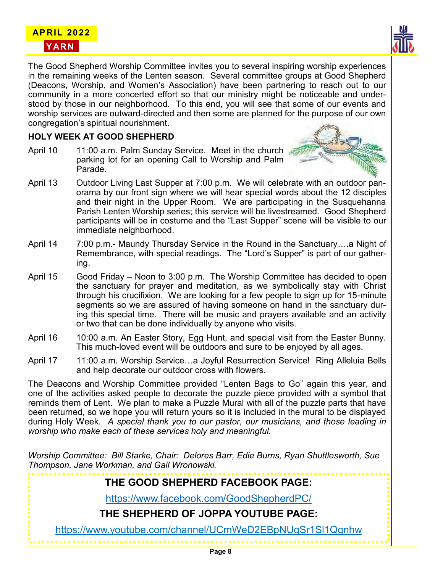



The Good Shepherd Worship Committee invites you to several inspiring worship experiences in the remaining weeks of the Lenten season. Several committee groups at Good Shepherd (Deacons, Worship, and Women's Association) have been partnering to reach out to our community in a more concerted effort so that our ministry might be noticeable and understood by those in our neighborhood. To this end, you will see that some of our events and worship services are outward-directed and then some are planned for the purpose of our own congregation's spiritual nourishment.

#### **HOLY WEEK AT GOOD SHEPHERD**

April 10 11:00 a.m. Palm Sunday Service. Meet in the church parking lot for an opening Call to Worship and Palm Parade.



- April 13 Outdoor Living Last Supper at 7:00 p.m. We will celebrate with an outdoor panorama by our front sign where we will hear special words about the 12 disciples and their night in the Upper Room. We are participating in the Susquehanna Parish Lenten Worship series; this service will be livestreamed. Good Shepherd participants will be in costume and the "Last Supper" scene will be visible to our immediate neighborhood.
- April 14 7:00 p.m.- Maundy Thursday Service in the Round in the Sanctuary….a Night of Remembrance, with special readings. The "Lord's Supper" is part of our gathering.
- April 15 Good Friday Noon to 3:00 p.m. The Worship Committee has decided to open the sanctuary for prayer and meditation, as we symbolically stay with Christ through his crucifixion. We are looking for a few people to sign up for 15-minute segments so we are assured of having someone on hand in the sanctuary during this special time. There will be music and prayers available and an activity or two that can be done individually by anyone who visits.
- April 16 10:00 a.m. An Easter Story, Egg Hunt, and special visit from the Easter Bunny. This much-loved event will be outdoors and sure to be enjoyed by all ages.
- April 17 11:00 a.m. Worship Service...a Joyful Resurrection Service! Ring Alleluia Bells and help decorate our outdoor cross with flowers.

The Deacons and Worship Committee provided "Lenten Bags to Go" again this year, and one of the activities asked people to decorate the puzzle piece provided with a symbol that reminds them of Lent. We plan to make a Puzzle Mural with all of the puzzle parts that have been returned, so we hope you will return yours so it is included in the mural to be displayed during Holy Week. *A special thank you to our pastor, our musicians, and those leading in worship who make each of these services holy and meaningful.*

*Worship Committee: Bill Starke, Chair: Delores Barr, Edie Burns, Ryan Shuttlesworth, Sue Thompson, Jane Workman, and Gail Wronowski.*

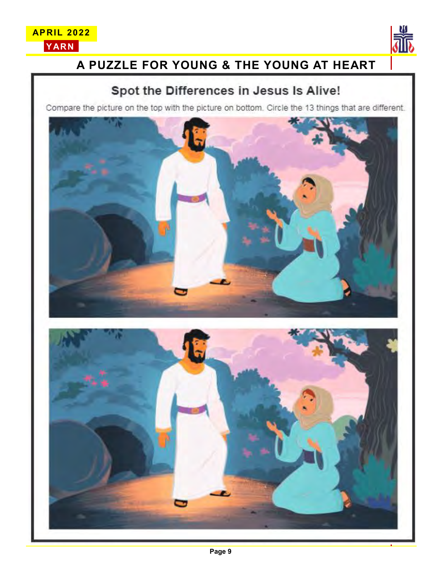



# **A PUZZLE FOR YOUNG & THE YOUNG AT HEART**

## Spot the Differences in Jesus Is Alive!

Compare the picture on the top with the picture on bottom. Circle the 13 things that are different.